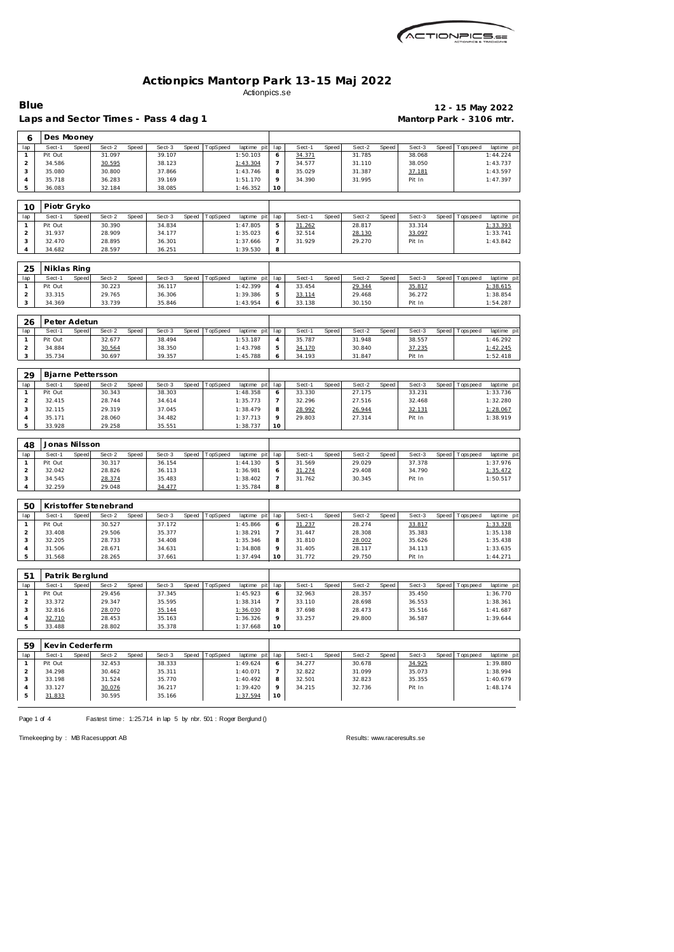| MCTIONPICS.sa |
|---------------|
|               |

## Laps and Sector Times - Pass 4 dag 1 **Mantorp Park - 3106 mtr.**

# **Blue 12 - 15 May 2022**

| 6                       | Des Mooney      |       |                          |       |        |       |          |             |                |        |       |        |       |        |       |             |             |
|-------------------------|-----------------|-------|--------------------------|-------|--------|-------|----------|-------------|----------------|--------|-------|--------|-------|--------|-------|-------------|-------------|
| lap                     | Sect-1          | Speed | Sect-2                   | Speed | Sect-3 | Speed | TopSpeed | laptime pit | lap            | Sect-1 | Speed | Sect-2 | Speed | Sect-3 | Speed | Tops peed   | laptime pit |
| $\mathbf{1}$            | Pit Out         |       | 31.097                   |       | 39.107 |       |          | 1:50.103    | 6              | 34.371 |       | 31.785 |       | 38.068 |       |             | 1:44.224    |
| $\overline{a}$          | 34.586          |       | 30.595                   |       | 38.123 |       |          | 1:43.304    | $\overline{7}$ | 34.577 |       | 31.110 |       | 38.050 |       |             | 1:43.737    |
| 3                       | 35.080          |       | 30.800                   |       | 37.866 |       |          | 1:43.746    | 8              | 35.029 |       | 31.387 |       | 37.181 |       |             | 1:43.597    |
| $\sqrt{4}$              | 35.718          |       | 36.283                   |       | 39.169 |       |          | 1:51.170    | 9              | 34.390 |       | 31.995 |       | Pit In |       |             | 1:47.397    |
| 5                       | 36.083          |       | 32.184                   |       | 38.085 |       |          | 1:46.352    | 10             |        |       |        |       |        |       |             |             |
| 10                      | Piotr Gryko     |       |                          |       |        |       |          |             |                |        |       |        |       |        |       |             |             |
| lap                     | Sect-1          | Speed | Sect-2                   | Speed | Sect-3 | Speed | TopSpeed | laptime pit | lap            | Sect-1 | Speed | Sect-2 | Speed | Sect-3 | Speed | T ops pee d | laptime pi  |
| $\mathbf{1}$            | Pit Out         |       | 30.390                   |       | 34.834 |       |          | 1:47.805    | 5              | 31.262 |       | 28.817 |       | 33.314 |       |             | 1:33.393    |
| $\overline{c}$          | 31.937          |       | 28.909                   |       | 34.177 |       |          | 1:35.023    | 6              | 32.514 |       | 28.130 |       | 33.097 |       |             | 1:33.741    |
| 3                       | 32.470          |       | 28.895                   |       | 36.301 |       |          | 1:37.666    | $\overline{7}$ | 31.929 |       | 29.270 |       | Pit In |       |             | 1:43.842    |
| 4                       | 34.682          |       | 28.597                   |       | 36.251 |       |          | 1:39.530    | 8              |        |       |        |       |        |       |             |             |
| 25                      | Niklas Ring     |       |                          |       |        |       |          |             |                |        |       |        |       |        |       |             |             |
| lap                     | Sect-1          | Speed | Sect-2                   | Speed | Sect-3 | Speed | TopSpeed | laptime pit | lap            | Sect-1 | Speed | Sect-2 | Speed | Sect-3 | Speed | Tops peed   | laptime pit |
| $\mathbf{1}$            | Pit Out         |       | 30.223                   |       | 36.117 |       |          | 1:42.399    | $\overline{4}$ | 33.454 |       | 29.344 |       | 35.817 |       |             | 1:38.615    |
| $\overline{a}$          | 33.315          |       | 29.765                   |       | 36.306 |       |          | 1:39.386    | 5              | 33.114 |       | 29.468 |       | 36.272 |       |             | 1:38.854    |
| 3                       | 34.369          |       | 33.739                   |       | 35.846 |       |          | 1:43.954    | 6              | 33.138 |       | 30.150 |       | Pit In |       |             | 1:54.287    |
|                         | Peter Adetun    |       |                          |       |        |       |          |             |                |        |       |        |       |        |       |             |             |
| 26<br>lap               | Sect-1          | Speed | Sect-2                   | Speed | Sect-3 | Speed | TopSpeed | laptime pit | lap            | Sect-1 | Speed | Sect-2 | Speed | Sect-3 | Speed | Tops pee d  | laptime pit |
| $\mathbf{1}$            | Pit Out         |       | 32.677                   |       | 38.494 |       |          | 1:53.187    | $\overline{4}$ | 35.787 |       | 31.948 |       | 38.557 |       |             | 1:46.292    |
| $\overline{c}$          | 34.884          |       | 30.564                   |       | 38.350 |       |          | 1:43.798    | 5              | 34.170 |       | 30.840 |       | 37.235 |       |             | 1:42.245    |
| 3                       | 35.734          |       | 30.697                   |       | 39.357 |       |          | 1:45.788    | 6              | 34.193 |       | 31.847 |       | Pit In |       |             | 1:52.418    |
|                         |                 |       |                          |       |        |       |          |             |                |        |       |        |       |        |       |             |             |
| 29                      |                 |       | <b>Bjarne Pettersson</b> |       |        |       |          |             |                |        |       |        |       |        |       |             |             |
| lap                     | Sect-1          | Speed | Sect-2                   | Speed | Sect-3 | Speed | TopSpeed | laptime pit | lap            | Sect-1 | Speed | Sect-2 | Speed | Sect-3 | Speed | T ops pee d | laptime pit |
| $\mathbf{1}$            | Pit Out         |       | 30.343                   |       | 38.303 |       |          | 1:48.358    | 6              | 33.330 |       | 27.175 |       | 33.231 |       |             | 1:33.736    |
| $\mathbf 2$             | 32.415          |       | 28.744                   |       | 34.614 |       |          | 1:35.773    | $\overline{7}$ | 32.296 |       | 27.516 |       | 32.468 |       |             | 1:32.280    |
| 3                       | 32.115          |       | 29.319                   |       | 37.045 |       |          | 1:38.479    | 8              | 28.992 |       | 26.944 |       | 32.131 |       |             | 1:28.067    |
| 4                       | 35.171          |       | 28.060                   |       | 34.482 |       |          | 1:37.713    | 9              | 29.803 |       | 27.314 |       | Pit In |       |             | 1:38.919    |
| 5                       | 33.928          |       | 29.258                   |       | 35.551 |       |          | 1:38.737    | 10             |        |       |        |       |        |       |             |             |
| 48                      | Jonas Nilsson   |       |                          |       |        |       |          |             |                |        |       |        |       |        |       |             |             |
| lap                     | Sect-1          | Speed | Sect-2                   | Speed | Sect-3 | Speed | TopSpeed | laptime pit | lap            | Sect-1 | Speed | Sect-2 | Speed | Sect-3 | Speed | T ops pee d | laptime pi  |
| 1                       | Pit Out         |       | 30.317                   |       | 36.154 |       |          | 1:44.130    | 5              | 31.569 |       | 29.029 |       | 37.378 |       |             | 1:37.976    |
| $\overline{c}$          | 32.042          |       | 28.826                   |       | 36.113 |       |          | 1:36.981    | 6              | 31.274 |       | 29.408 |       | 34.790 |       |             | 1:35.472    |
| 3                       | 34.545          |       | 28.374                   |       | 35.483 |       |          | 1:38.402    | $\overline{7}$ | 31.762 |       | 30.345 |       | Pit In |       |             | 1:50.517    |
| $\overline{4}$          | 32.259          |       | 29.048                   |       | 34.477 |       |          | 1:35.784    | 8              |        |       |        |       |        |       |             |             |
| 50                      |                 |       | Kristoffer Stenebrand    |       |        |       |          |             |                |        |       |        |       |        |       |             |             |
| lap                     | Sect-1          | Speed | Sect-2                   | Speed | Sect-3 | Speed | TopSpeed | laptime pit | lap            | Sect-1 | Speed | Sect-2 | Speed | Sect-3 | Speed | Tops pee d  | laptime pit |
| $\mathbf{1}$            | Pit Out         |       | 30.527                   |       | 37.172 |       |          | 1:45.866    | 6              | 31.237 |       | 28.274 |       | 33.817 |       |             | 1:33.328    |
| $\overline{a}$          | 33.408          |       | 29.506                   |       | 35.377 |       |          | 1:38.291    | $\overline{7}$ | 31.447 |       | 28.308 |       | 35.383 |       |             | 1:35.138    |
| 3                       | 32.205          |       | 28.733                   |       | 34.408 |       |          | 1:35.346    | 8              | 31.810 |       | 28.002 |       | 35.626 |       |             | 1:35.438    |
| $\overline{4}$          | 31.506          |       | 28.671                   |       | 34.631 |       |          | 1:34.808    | 9              | 31.405 |       | 28.117 |       | 34.113 |       |             | 1:33.635    |
| 5                       | 31.568          |       | 28.265                   |       | 37.661 |       |          | 1:37.494    | 10             | 31.772 |       | 29.750 |       | Pit In |       |             | 1:44.271    |
| 51                      | Patrik Berglund |       |                          |       |        |       |          |             |                |        |       |        |       |        |       |             |             |
| lap                     | Sect-1          | Speed | Sect-2                   | Speed | Sect-3 | Speed | TopSpeed | laptime pit | lap            | Sect-1 | Speed | Sect-2 | Speed | Sect-3 | Speed | Tops peed   | laptime pit |
| $\mathbf{1}$            | Pit Out         |       | 29.456                   |       | 37.345 |       |          | 1:45.923    | 6              | 32.963 |       | 28.357 |       | 35.450 |       |             | 1:36.770    |
| $\overline{\mathbf{c}}$ | 33.372          |       | 29.347                   |       | 35.595 |       |          | 1:38.314    | $\overline{7}$ | 33.110 |       | 28.698 |       | 36.553 |       |             | 1:38.361    |
| 3                       | 32.816          |       | 28.070                   |       | 35.144 |       |          | 1:36.030    | 8              | 37.698 |       | 28.473 |       | 35.516 |       |             | 1:41.687    |
| 4                       | 32.710          |       | 28.453                   |       | 35.163 |       |          | 1:36.326    | 9              | 33.257 |       | 29.800 |       | 36.587 |       |             | 1:39.644    |
| 5                       | 33.488          |       | 28.802                   |       | 35.378 |       |          | 1:37.668    | 10             |        |       |        |       |        |       |             |             |
| 59                      | Kevin Cederferm |       |                          |       |        |       |          |             |                |        |       |        |       |        |       |             |             |
| lap                     | Sect-1          | Speed | Sect-2                   | Speed | Sect-3 | Speed | TopSpeed | laptime pit | lap            | Sect-1 | Speed | Sect-2 | Speed | Sect-3 | Speed | Tops peed   | laptime pit |
| $\mathbf{1}$            | Pit Out         |       | 32.453                   |       | 38.333 |       |          | 1:49.624    | 6              | 34.277 |       | 30.678 |       | 34.925 |       |             | 1:39.880    |
| $\overline{a}$          | 34.298          |       | 30.462                   |       | 35.311 |       |          | 1:40.071    | $\overline{7}$ | 32.822 |       | 31.099 |       | 35.073 |       |             | 1:38.994    |
| 3                       | 33.198          |       | 31.524                   |       | 35.770 |       |          | 1:40.492    | 8              | 32.501 |       | 32.823 |       | 35.355 |       |             | 1:40.679    |
| 4                       | 33.127          |       | 30.076                   |       | 36.217 |       |          | 1:39.420    | 9              | 34.215 |       | 32.736 |       | Pit In |       |             | 1:48.174    |
| 5                       | 31.833          |       | 30.595                   |       | 35.166 |       |          | 1:37.594    | 10             |        |       |        |       |        |       |             |             |

Page 1 of 4 Fastest time: 1:25.714 in lap 5 by nbr. 501 : Roger Berglund ()

Timekeeping by : MB Racesupport AB Results:<www.raceresults.se>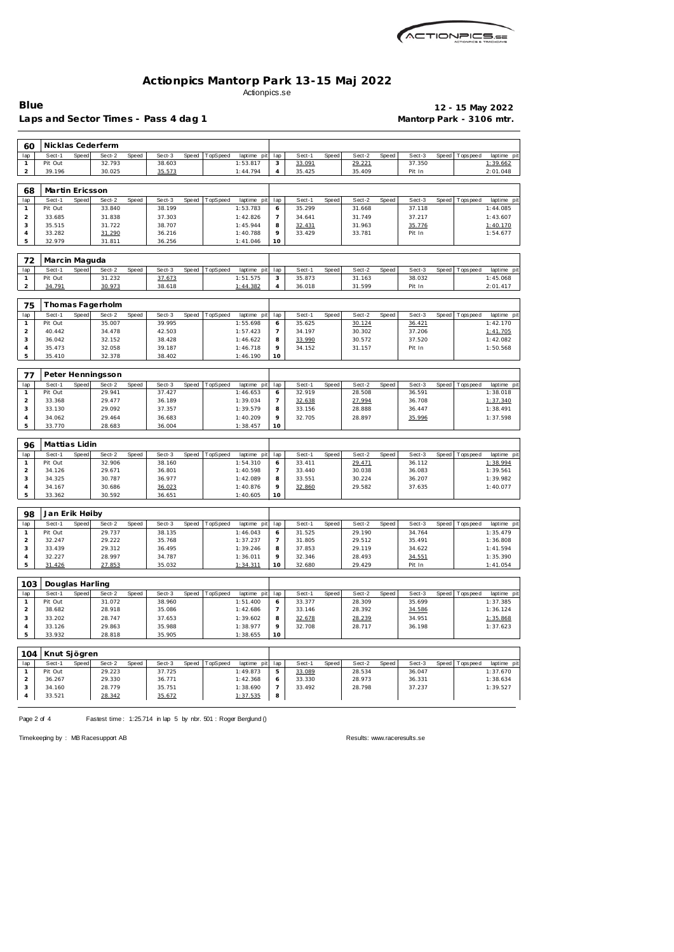

Laps and Sector Times - Pass 4 dag 1 **Mantorp Park - 3106 mtr.** 

**Blue 12 - 15 May 2022**

| 60                  |                   |       | Nicklas Cederferm |       |                  |       |          |                         |                          |                  |       |                  |       |                  |       |             |                         |
|---------------------|-------------------|-------|-------------------|-------|------------------|-------|----------|-------------------------|--------------------------|------------------|-------|------------------|-------|------------------|-------|-------------|-------------------------|
| lap                 | Sect-1            | Speed | Sect-2            | Speed | Sect-3           | Speed | TopSpeed | laptime pit             | lap                      | Sect-1           | Speed | Sect-2           | Speed | Sect-3           | Speed | Tops peed   | laptime pit             |
| $\mathbf{1}$        | Pit Out           |       | 32.793            |       | 38.603           |       |          | 1:53.817                | 3                        | 33.091           |       | 29.221           |       | 37.350           |       |             | 1:39.662                |
| $\overline{a}$      | 39.196            |       | 30.025            |       | 35.573           |       |          | 1:44.794                | 4                        | 35.425           |       | 35.409           |       | Pit In           |       |             | 2:01.048                |
|                     |                   |       |                   |       |                  |       |          |                         |                          |                  |       |                  |       |                  |       |             |                         |
| 68                  | Martin Ericsson   |       |                   |       |                  |       |          |                         |                          |                  |       |                  |       |                  |       |             |                         |
| lap                 | Sect-1            | Speed | Sect-2            | Speed | Sect-3           | Speed | TopSpeed | laptime pit             | lap                      | Sect-1           | Speed | Sect-2           | Speed | Sect-3           | Speed | T ops pee d | laptime pit             |
| $\mathbf{1}$        | Pit Out           |       | 33.840            |       | 38.199           |       |          | 1:53.783                | 6                        | 35.299           |       | 31.668           |       | 37.118           |       |             | 1:44.085                |
| $\overline{c}$      | 33.685            |       | 31.838            |       | 37.303           |       |          | 1:42.826                | $\overline{\phantom{a}}$ | 34.641           |       | 31.749           |       | 37.217           |       |             | 1:43.607                |
| 3                   | 35.515            |       | 31.722            |       | 38.707           |       |          | 1:45.944                | 8                        | 32.431           |       | 31.963           |       | 35.776           |       |             | 1:40.170                |
| 4                   | 33.282            |       | 31.290            |       | 36.216           |       |          | 1:40.788                | 9                        | 33.429           |       | 33.781           |       | Pit In           |       |             | 1:54.677                |
| 5                   | 32.979            |       | 31.811            |       | 36.256           |       |          | 1:41.046                | 10                       |                  |       |                  |       |                  |       |             |                         |
|                     |                   |       |                   |       |                  |       |          |                         |                          |                  |       |                  |       |                  |       |             |                         |
| 72                  | Marcin Maguda     |       |                   |       |                  |       |          |                         |                          |                  |       |                  |       |                  |       |             |                         |
| lap                 | Sect-1            | Speed | Sect-2            | Speed | Sect-3           | Speed | TopSpeed | laptime pit             | lap                      | Sect-1           | Speed | Sect-2           | Speed | Sect-3           | Speed | Tops peed   | laptime pit             |
| 1                   | Pit Out           |       | 31.232            |       | 37.673           |       |          | 1:51.575                | 3                        | 35.873           |       | 31.163           |       | 38.032           |       |             | 1:45.068                |
| $\overline{2}$      | 34.791            |       | 30.973            |       | 38.618           |       |          | 1:44.382                | 4                        | 36.018           |       | 31.599           |       | Pit In           |       |             | 2:01.417                |
|                     |                   |       |                   |       |                  |       |          |                         |                          |                  |       |                  |       |                  |       |             |                         |
| 75                  |                   |       | Thomas Fagerholm  |       |                  |       |          |                         |                          |                  |       |                  |       |                  |       |             |                         |
| lap                 | Sect-1            | Speed | Sect-2            | Speed | Sect-3           | Speed | TopSpeed | laptime pit             | lap                      | Sect-1           | Speed | Sect-2           | Speed | Sect-3           | Speed | Tops peed   | laptime pit             |
| $\mathbf{1}$        | Pit Out           |       | 35.007            |       | 39.995           |       |          | 1:55.698                | 6                        | 35.625           |       | 30.124           |       | 36.421           |       |             | 1:42.170                |
| $\overline{a}$      | 40.442            |       | 34.478            |       | 42.503           |       |          | 1:57.423                | $\overline{7}$           | 34.197           |       | 30.302           |       | 37.206           |       |             | 1:41.705                |
| 3                   | 36.042            |       | 32.152            |       | 38.428           |       |          | 1:46.622                | 8<br>9                   | 33.990           |       | 30.572           |       | 37.520           |       |             | 1:42.082                |
| 4<br>5              | 35.473<br>35.410  |       | 32.058<br>32.378  |       | 39.187<br>38.402 |       |          | 1:46.718<br>1:46.190    | 10                       | 34.152           |       | 31.157           |       | Pit In           |       |             | 1:50.568                |
|                     |                   |       |                   |       |                  |       |          |                         |                          |                  |       |                  |       |                  |       |             |                         |
| 77                  |                   |       | Peter Henningsson |       |                  |       |          |                         |                          |                  |       |                  |       |                  |       |             |                         |
|                     |                   |       |                   |       |                  |       |          |                         |                          |                  |       |                  |       |                  |       |             |                         |
| lap<br>$\mathbf{1}$ | Sect-1<br>Pit Out | Speed | Sect-2<br>29.941  | Speed | Sect-3<br>37.427 | Speed | TopSpeed | laptime pit<br>1:46.653 | lap<br>6                 | Sect-1<br>32.919 | Speed | Sect-2<br>28.508 | Speed | Sect-3<br>36.591 | Speed | T ops pee d | laptime pit<br>1:38.018 |
| $\overline{a}$      | 33.368            |       | 29.477            |       | 36.189           |       |          | 1:39.034                | $\overline{7}$           | 32.638           |       | 27.994           |       | 36.708           |       |             | 1:37.340                |
| 3                   | 33.130            |       | 29.092            |       | 37.357           |       |          | 1:39.579                | 8                        | 33.156           |       | 28.888           |       | 36.447           |       |             | 1:38.491                |
| 4                   | 34.062            |       | 29.464            |       | 36.683           |       |          | 1:40.209                | 9                        | 32.705           |       | 28.897           |       | 35.996           |       |             | 1:37.598                |
| 5                   | 33.770            |       | 28.683            |       | 36.004           |       |          | 1:38.457                | 10                       |                  |       |                  |       |                  |       |             |                         |
|                     |                   |       |                   |       |                  |       |          |                         |                          |                  |       |                  |       |                  |       |             |                         |
| 96                  | Mattias Lidin     |       |                   |       |                  |       |          |                         |                          |                  |       |                  |       |                  |       |             |                         |
| lap                 | Sect-1            | Speed | Sect-2            | Speed | Sect-3           | Speed | TopSpeed | laptime pit             | lap                      | Sect-1           | Speed | Sect-2           | Speed | Sect-3           | Speed | Tops peed   | laptime pit             |
| 1                   | Pit Out           |       | 32.906            |       | 38.160           |       |          | 1:54.310                | 6                        | 33.411           |       | 29.471           |       | 36.112           |       |             | 1:38.994                |
| $\overline{a}$      | 34.126            |       | 29.671            |       | 36.801           |       |          | 1:40.598                | $\overline{7}$           | 33.440           |       | 30.038           |       | 36.083           |       |             | 1:39.561                |
| 3                   | 34.325            |       | 30.787            |       | 36.977           |       |          | 1:42.089                | 8                        | 33.551           |       | 30.224           |       | 36.207           |       |             | 1:39.982                |
| 4                   | 34.167            |       | 30.686            |       | 36.023           |       |          | 1:40.876                | 9                        | 32.860           |       | 29.582           |       | 37.635           |       |             | 1:40.077                |
| 5                   | 33.362            |       | 30.592            |       | 36.651           |       |          | 1:40.605                | 10                       |                  |       |                  |       |                  |       |             |                         |
|                     |                   |       |                   |       |                  |       |          |                         |                          |                  |       |                  |       |                  |       |             |                         |
| 98                  | Jan Erik Høiby    |       |                   |       |                  |       |          |                         |                          |                  |       |                  |       |                  |       |             |                         |
| lap                 | Sect-1            | Speed | Sect-2            | Speed | Sect-3           | Speed | TopSpeed | laptime pit             | lap                      | Sect-1           | Speed | Sect-2           | Speed | Sect-3           | Speed | Tops peed   | laptime pit             |
| $\mathbf{1}$        | Pit Out           |       | 29.737            |       | 38.135           |       |          | 1:46.043                | 6                        | 31.525           |       | 29.190           |       | 34.764           |       |             | 1:35.479                |
| $\overline{2}$      | 32.247            |       | 29.222            |       | 35.768           |       |          | 1:37.237                | $\overline{7}$           | 31.805           |       | 29.512           |       | 35.491           |       |             | 1:36.808                |
| 3                   | 33.439            |       | 29.312            |       | 36.495           |       |          | 1:39.246                | 8                        | 37.853           |       | 29.119           |       | 34.622           |       |             | 1:41.594                |
| 4                   | 32.227            |       | 28.997            |       | 34.787           |       |          | 1:36.011                | 9                        | 32.346           |       | 28.493           |       | 34.551           |       |             | 1:35.390                |
| 5                   | 31.426            |       | 27.853            |       | 35.032           |       |          | 1:34.311                | 10                       | 32.680           |       | 29.429           |       | Pit In           |       |             | 1:41.054                |
|                     |                   |       |                   |       |                  |       |          |                         |                          |                  |       |                  |       |                  |       |             |                         |
| 103                 | Douglas Harling   |       |                   |       |                  |       |          |                         |                          |                  |       |                  |       |                  |       |             |                         |
| lap                 | Sect-1            | Speed | Sect-2            | Speed | Sect-3           | Speed | TopSpeed | laptime pit             | lap                      | Sect-1           | Speed | Sect-2           | Speed | Sect-3           | Speed | Tops peed   | laptime pit             |
| $\mathbf{1}$        | Pit Out           |       | 31.072            |       | 38.960           |       |          | 1:51.400                | 6                        | 33.377           |       | 28.309           |       | 35.699           |       |             | 1:37.385                |
| $\overline{a}$      | 38.682            |       | 28.918            |       | 35.086           |       |          | 1:42.686                | $\overline{7}$           | 33.146           |       | 28.392           |       | 34.586           |       |             | 1:36.124                |
| 3                   | 33.202            |       | 28.747            |       | 37.653           |       |          | 1:39.602                | 8                        | 32.678           |       | 28.239           |       | 34.951           |       |             | 1:35.868                |
| 4                   | 33.126            |       | 29.863            |       | 35.988           |       |          | 1:38.977                | 9                        | 32.708           |       | 28.717           |       | 36.198           |       |             | 1:37.623                |
| 5                   | 33.932            |       | 28.818            |       | 35.905           |       |          | 1:38.655                | 10                       |                  |       |                  |       |                  |       |             |                         |
|                     |                   |       |                   |       |                  |       |          |                         |                          |                  |       |                  |       |                  |       |             |                         |
| 104                 | Knut Sjögren      |       |                   |       |                  |       |          |                         |                          |                  |       |                  |       |                  |       |             |                         |
| lap                 | Sect-1            | Speed | Sect-2            | Speed | Sect-3           | Speed | TopSpeed | laptime pit             | lap                      | Sect-1           | Speed | Sect-2           | Speed | Sect-3           | Speed | Tops pee d  | laptime pit             |
| 1                   | Pit Out<br>36.267 |       | 29.223<br>29.330  |       | 37.725<br>36.771 |       |          | 1:49.873                | 5                        | 33.089<br>33.330 |       | 28.534<br>28.973 |       | 36.047<br>36.331 |       |             | 1:37.670<br>1:38.634    |
| $\overline{a}$<br>3 | 34.160            |       | 28.779            |       | 35.751           |       |          | 1:42.368<br>1:38.690    | 6<br>$\overline{7}$      | 33.492           |       | 28.798           |       | 37.237           |       |             | 1:39.527                |
| 4                   | 33.521            |       | 28.342            |       | 35.672           |       |          | 1:37.535                | 8                        |                  |       |                  |       |                  |       |             |                         |
|                     |                   |       |                   |       |                  |       |          |                         |                          |                  |       |                  |       |                  |       |             |                         |

Page 2 of 4 Fastest time: 1:25.714 in lap 5 by nbr. 501 : Roger Berglund ()

Timekeeping by : MB Racesupport AB Results:<www.raceresults.se>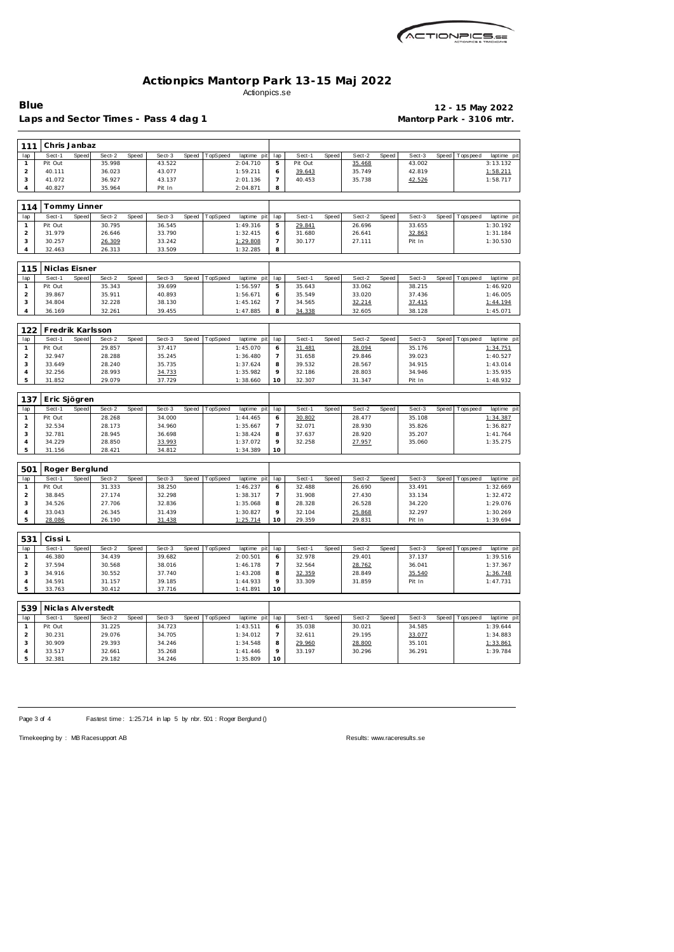

Laps and Sector Times - Pass 4 dag 1 **Mantorp Park - 3106 mtr.** 

**Blue 12 - 15 May 2022**

| 111            | Chris Janbaz                |       |        |       |        |       |          |             |                          |         |       |        |       |        |              |                 |             |
|----------------|-----------------------------|-------|--------|-------|--------|-------|----------|-------------|--------------------------|---------|-------|--------|-------|--------|--------------|-----------------|-------------|
| lap            | Sect-1                      | Speed | Sect-2 | Speed | Sect-3 | Speed | TopSpeed | laptime pit | lap                      | Sect-1  | Speed | Sect-2 | Speed | Sect-3 | Speed        | <b>Topspeed</b> | laptime pi  |
| $\mathbf{1}$   | Pit Out                     |       | 35.998 |       | 43.522 |       |          | 2:04.710    | 5                        | Pit Out |       | 35.468 |       | 43.002 |              |                 | 3:13.132    |
| $\mathbf 2$    | 40.111                      |       | 36.023 |       | 43.077 |       |          | 1:59.211    | 6                        | 39.643  |       | 35.749 |       | 42.819 |              |                 | 1:58.211    |
| $\mathsf 3$    | 41.072                      |       | 36.927 |       | 43.137 |       |          | 2:01.136    | $\overline{\phantom{a}}$ | 40.453  |       | 35.738 |       | 42.526 |              |                 | 1:58.717    |
| $\overline{4}$ | 40.827                      |       | 35.964 |       | Pit In |       |          | 2:04.871    | 8                        |         |       |        |       |        |              |                 |             |
| 114            | Tommy Linner                |       |        |       |        |       |          |             |                          |         |       |        |       |        |              |                 |             |
| lap            | Sect-1                      | Speed | Sect-2 | Speed | Sect-3 | Speed | TopSpeed | laptime pit | lap                      | Sect-1  | Speed | Sect-2 | Speed | Sect-3 | Speed        | Tops pee d      | laptime pit |
| $\mathbf{1}$   | Pit Out                     |       | 30.795 |       | 36.545 |       |          | 1:49.316    | 5                        | 29.841  |       | 26.696 |       | 33.655 |              |                 | 1:30.192    |
| $\overline{a}$ | 31.979                      |       | 26.646 |       | 33.790 |       |          | 1:32.415    | 6                        | 31.680  |       | 26.641 |       | 32.863 |              |                 | 1:31.184    |
| 3              | 30.257                      |       | 26.309 |       | 33.242 |       |          | 1:29.808    | $\overline{7}$           | 30.177  |       | 27.111 |       | Pit In |              |                 | 1:30.530    |
| $\overline{4}$ | 32.463                      |       | 26.313 |       | 33.509 |       |          | 1:32.285    | 8                        |         |       |        |       |        |              |                 |             |
|                |                             |       |        |       |        |       |          |             |                          |         |       |        |       |        |              |                 |             |
| 115            | Niclas Eisner               |       |        |       |        |       |          |             |                          |         |       |        |       |        |              |                 |             |
| lap            | Sect-1                      | Speed | Sect-2 | Speed | Sect-3 | Speed | TopSpeed | laptime pit | lap                      | Sect-1  | Speed | Sect-2 | Speed | Sect-3 | Speed        | T ops pee d     | laptime pi  |
| $\mathbf{1}$   | Pit Out                     |       | 35.343 |       | 39.699 |       |          | 1:56.597    | $\mathbf 5$              | 35.643  |       | 33.062 |       | 38.215 |              |                 | 1:46.920    |
| $\overline{a}$ | 39.867                      |       | 35.911 |       | 40.893 |       |          | 1:56.671    | 6                        | 35.549  |       | 33.020 |       | 37.436 |              |                 | 1:46.005    |
| $\sqrt{3}$     | 34.804                      |       | 32.228 |       | 38.130 |       |          | 1:45.162    | $\overline{7}$           | 34.565  |       | 32.214 |       | 37.415 |              |                 | 1:44.194    |
| $\overline{4}$ | 36.169                      |       | 32.261 |       | 39.455 |       |          | 1:47.885    | 8                        | 34.338  |       | 32.605 |       | 38.128 |              |                 | 1:45.071    |
|                | Fredrik Karlsson            |       |        |       |        |       |          |             |                          |         |       |        |       |        |              |                 |             |
| 122<br>lap     | Sect-1                      | Speed | Sect-2 | Speed | Sect-3 | Speed | TopSpeed | laptime pit | lap                      | Sect-1  | Speed | Sect-2 | Speed | Sect-3 | <b>Speed</b> | Tops peed       | laptime pi  |
| $\mathbf{1}$   | Pit Out                     |       | 29.857 |       | 37.417 |       |          | 1:45.070    | 6                        | 31.481  |       | 28.094 |       | 35.176 |              |                 | 1:34.751    |
| $\mathbf 2$    | 32.947                      |       | 28.288 |       | 35.245 |       |          | 1:36.480    | $\overline{7}$           | 31.658  |       | 29.846 |       | 39.023 |              |                 | 1:40.527    |
| $\mathsf 3$    | 33.649                      |       | 28.240 |       | 35.735 |       |          | 1:37.624    | 8                        | 39.532  |       | 28.567 |       | 34.915 |              |                 | 1:43.014    |
| $\overline{4}$ | 32.256                      |       | 28.993 |       | 34.733 |       |          | 1:35.982    | 9                        | 32.186  |       | 28.803 |       | 34.946 |              |                 | 1:35.935    |
| 5              | 31.852                      |       | 29.079 |       | 37.729 |       |          | 1:38.660    | 10                       | 32.307  |       | 31.347 |       | Pit In |              |                 | 1:48.932    |
|                |                             |       |        |       |        |       |          |             |                          |         |       |        |       |        |              |                 |             |
| 137            | Eric Sjögren                |       |        |       |        |       |          |             |                          |         |       |        |       |        |              |                 |             |
| lap            | Sect-1                      | Speed | Sect-2 | Speed | Sect-3 | Speed | TopSpeed | laptime pit | lap                      | Sect-1  | Speed | Sect-2 | Speed | Sect-3 | Speed        | Tops pee d      | laptime pi  |
| $\mathbf{1}$   | Pit Out                     |       | 28.268 |       | 34.000 |       |          | 1:44.465    | 6                        | 30.802  |       | 28.477 |       | 35.108 |              |                 | 1:34.387    |
| $\overline{2}$ | 32.534                      |       | 28.173 |       | 34.960 |       |          | 1:35.667    | $\overline{7}$           | 32.071  |       | 28.930 |       | 35.826 |              |                 | 1:36.827    |
| 3              | 32.781                      |       | 28.945 |       | 36.698 |       |          | 1:38.424    | 8                        | 37.637  |       | 28.920 |       | 35.207 |              |                 | 1: 41.764   |
| $\overline{4}$ | 34.229                      |       | 28.850 |       | 33.993 |       |          | 1:37.072    | 9                        | 32.258  |       | 27.957 |       | 35.060 |              |                 | 1:35.275    |
| 5              | 31.156                      |       | 28.421 |       | 34.812 |       |          | 1:34.389    | 10                       |         |       |        |       |        |              |                 |             |
| 501            | Roger Berglund              |       |        |       |        |       |          |             |                          |         |       |        |       |        |              |                 |             |
| lap            | Sect-1                      | Speed | Sect-2 | Speed | Sect-3 | Speed | TopSpeed | laptime pit | lap                      | Sect-1  | Speed | Sect-2 | Speed | Sect-3 | Speed        | Tops peed       | laptime pi  |
| $\mathbf{1}$   | Pit Out                     |       | 31.333 |       | 38.250 |       |          | 1:46.237    | 6                        | 32.488  |       | 26.690 |       | 33.491 |              |                 | 1:32.669    |
| $\overline{2}$ | 38.845                      |       | 27.174 |       | 32.298 |       |          | 1:38.317    | 7                        | 31.908  |       | 27.430 |       | 33.134 |              |                 | 1:32.472    |
| $\sqrt{3}$     | 34.526                      |       | 27.706 |       | 32.836 |       |          | 1:35.068    | 8                        | 28.328  |       | 26.528 |       | 34.220 |              |                 | 1:29.076    |
| $\overline{4}$ | 33.043                      |       | 26.345 |       | 31.439 |       |          | 1:30.827    | 9                        | 32.104  |       | 25.868 |       | 32.297 |              |                 | 1:30.269    |
| 5              | 28.086                      |       | 26.190 |       | 31.438 |       |          | 1:25.714    | 10                       | 29.359  |       | 29.831 |       | Pit In |              |                 | 1:39.694    |
| 531            | Cissi L                     |       |        |       |        |       |          |             |                          |         |       |        |       |        |              |                 |             |
| lap            | Sect-1                      | Speed | Sect-2 | Speed | Sect-3 | Speed | TopSpeed | laptime pit | lap                      | Sect-1  | Speed | Sect-2 | Speed | Sect-3 | Speed        | Topspeed        | laptime pi  |
| $\mathbf{1}$   | 46.380                      |       | 34.439 |       | 39.682 |       |          | 2:00.501    | 6                        | 32.978  |       | 29.401 |       | 37.137 |              |                 | 1:39.516    |
| $\overline{2}$ | 37.594                      |       | 30.568 |       | 38.016 |       |          | 1:46.178    | $\overline{7}$           | 32.564  |       | 28.762 |       | 36.041 |              |                 | 1:37.367    |
| 3              | 34.916                      |       | 30.552 |       | 37.740 |       |          | 1:43.208    | 8                        | 32.359  |       | 28.849 |       | 35.540 |              |                 | 1:36.748    |
| $\overline{4}$ | 34.591                      |       | 31.157 |       | 39.185 |       |          | 1:44.933    | 9                        | 33.309  |       | 31.859 |       | Pit In |              |                 | 1:47.731    |
| 5              | 33.763                      |       | 30.412 |       | 37.716 |       |          | 1:41.891    | 10                       |         |       |        |       |        |              |                 |             |
|                |                             |       |        |       |        |       |          |             |                          |         |       |        |       |        |              |                 |             |
| 539<br>lap     | Niclas Alverstedt<br>Sect-1 | Speed | Sect-2 | Speed | Sect-3 | Speed | TopSpeed | laptime pit | lap                      | Sect-1  | Speed | Sect-2 | Speed | Sect-3 | Speed        | Tops peed       | laptime pi  |
| $\mathbf{1}$   | Pit Out                     |       | 31.225 |       | 34.723 |       |          | 1:43.511    | 6                        | 35.038  |       | 30.021 |       | 34.585 |              |                 | 1:39.644    |
| $\overline{2}$ | 30.231                      |       | 29.076 |       | 34.705 |       |          | 1:34.012    | $\overline{7}$           | 32.611  |       | 29.195 |       | 33.077 |              |                 | 1:34.883    |
| 3              | 30.909                      |       | 29.393 |       | 34.246 |       |          | 1:34.548    | 8                        | 29.960  |       | 28.800 |       | 35.101 |              |                 | 1:33.861    |
| $\overline{4}$ | 33.517                      |       | 32.661 |       | 35.268 |       |          | 1: 41.446   | 9                        | 33.197  |       | 30.296 |       | 36.291 |              |                 | 1:39.784    |
|                |                             |       |        |       |        |       |          |             |                          |         |       |        |       |        |              |                 |             |

Page 3 of 4 Fastest time: 1:25.714 in lap 5 by nbr. 501 : Roger Berglund ()

 33.517 32.661 35.268 1:41.446 32.381 29.182 34.246 1:35.809

Timekeeping by : MB Racesupport AB Results:<www.raceresults.se>